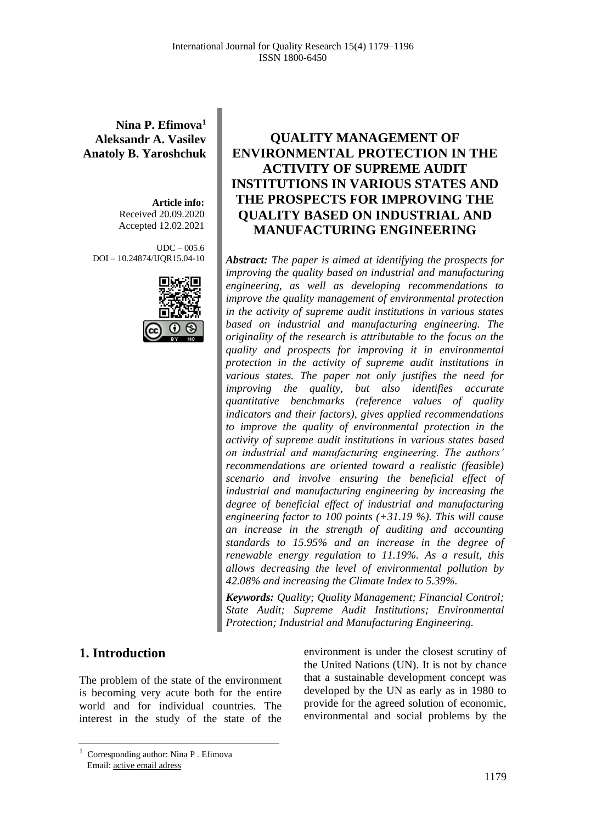**Nina P. Efimova<sup>1</sup> Aleksandr A. Vasilev Anatoly B. Yaroshchuk**

> **Article info:** Received 20.09.2020 Accepted 12.02.2021

 $IDC = 005.6$ DOI – 10.24874/IJQR15.04-10



# **QUALITY MANAGEMENT OF ENVIRONMENTAL PROTECTION IN THE ACTIVITY OF SUPREME AUDIT INSTITUTIONS IN VARIOUS STATES AND THE PROSPECTS FOR IMPROVING THE QUALITY BASED ON INDUSTRIAL AND MANUFACTURING ENGINEERING**

*Abstract: The paper is aimed at identifying the prospects for improving the quality based on industrial and manufacturing engineering, as well as developing recommendations to improve the quality management of environmental protection in the activity of supreme audit institutions in various states based on industrial and manufacturing engineering. The originality of the research is attributable to the focus on the quality and prospects for improving it in environmental protection in the activity of supreme audit institutions in various states. The paper not only justifies the need for improving the quality, but also identifies accurate quantitative benchmarks (reference values of quality indicators and their factors), gives applied recommendations to improve the quality of environmental protection in the activity of supreme audit institutions in various states based on industrial and manufacturing engineering. The authors' recommendations are oriented toward a realistic (feasible) scenario and involve ensuring the beneficial effect of industrial and manufacturing engineering by increasing the degree of beneficial effect of industrial and manufacturing engineering factor to 100 points (+31.19 %). This will cause an increase in the strength of auditing and accounting standards to 15.95% and an increase in the degree of renewable energy regulation to 11.19%. As a result, this allows decreasing the level of environmental pollution by 42.08% and increasing the Climate Index to 5.39%.*

*Keywords: Quality; Quality Management; Financial Control; State Audit; Supreme Audit Institutions; Environmental Protection; Industrial and Manufacturing Engineering.*

### **1. Introduction**

The problem of the state of the environment is becoming very acute both for the entire world and for individual countries. The interest in the study of the state of the environment is under the closest scrutiny of the United Nations (UN). It is not by chance that a sustainable development concept was developed by the UN as early as in 1980 to provide for the agreed solution of economic, environmental and social problems by the

<sup>1</sup> Corresponding author: Nina P . Efimova Email: active email adress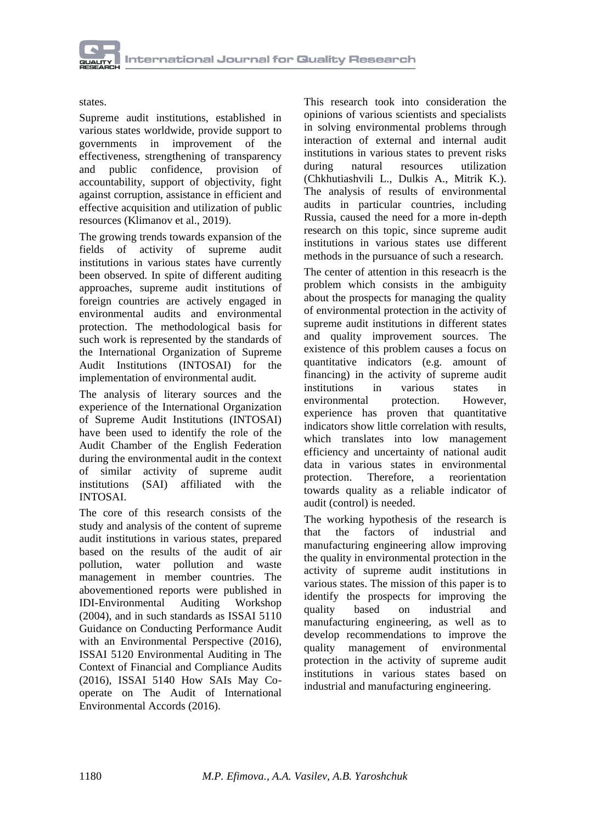### states.

Supreme audit institutions, established in various states worldwide, provide support to governments in improvement of the effectiveness, strengthening of transparency and public confidence, provision of accountability, support of objectivity, fight against corruption, assistance in efficient and effective acquisition and utilization of public resources (Klimanov et al., 2019).

The growing trends towards expansion of the fields of activity of supreme audit institutions in various states have currently been observed. In spite of different auditing approaches, supreme audit institutions of foreign countries are actively engaged in environmental audits and environmental protection. The methodological basis for such work is represented by the standards of the International Organization of Supreme Audit Institutions (INTOSAI) for the implementation of environmental audit.

The analysis of literary sources and the experience of the International Organization of Supreme Audit Institutions (INTOSAI) have been used to identify the role of the Audit Chamber of the English Federation during the environmental audit in the context of similar activity of supreme audit institutions (SAI) affiliated with the INTOSAI.

The core of this research consists of the study and analysis of the content of supreme audit institutions in various states, prepared based on the results of the audit of air pollution, water pollution and waste management in member countries. The abovementioned reports were published in IDI-Environmental Auditing Workshop (2004), and in such standards as ISSAI 5110 Guidance on Conducting Performance Audit with an Environmental Perspective (2016), ISSAI 5120 Environmental Auditing in The Context of Financial and Compliance Audits (2016), ISSAI 5140 How SAIs May Cooperate on The Audit of International Environmental Accords (2016).

This research took into consideration the opinions of various scientists and specialists in solving environmental problems through interaction of external and internal audit institutions in various states to prevent risks during natural resources utilization (Chkhutiashvili L., Dulkis A., Mitrik K.). The analysis of results of environmental audits in particular countries, including Russia, caused the need for a more in-depth research on this topic, since supreme audit institutions in various states use different methods in the pursuance of such a research.

The center of attention in this reseacrh is the problem which consists in the ambiguity about the prospects for managing the quality of environmental protection in the activity of supreme audit institutions in different states and quality improvement sources. The existence of this problem causes a focus on quantitative indicators (e.g. amount of financing) in the activity of supreme audit institutions in various states in environmental protection. However, experience has proven that quantitative indicators show little correlation with results, which translates into low management efficiency and uncertainty of national audit data in various states in environmental protection. Therefore, a reorientation towards quality as a reliable indicator of audit (control) is needed.

The working hypothesis of the research is that the factors of industrial and manufacturing engineering allow improving the quality in environmental protection in the activity of supreme audit institutions in various states. The mission of this paper is to identify the prospects for improving the quality based on industrial and manufacturing engineering, as well as to develop recommendations to improve the quality management of environmental protection in the activity of supreme audit institutions in various states based on industrial and manufacturing engineering.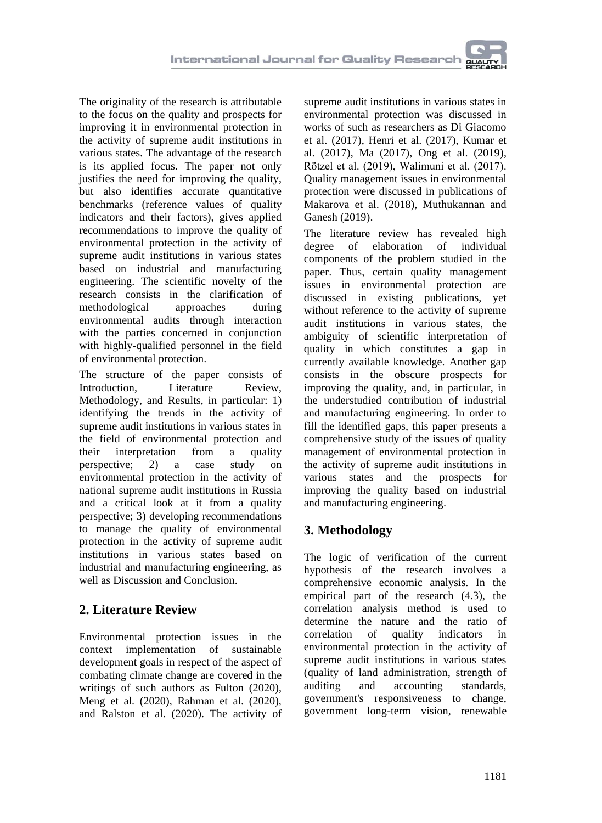The originality of the research is attributable to the focus on the quality and prospects for improving it in environmental protection in the activity of supreme audit institutions in various states. The advantage of the research is its applied focus. The paper not only justifies the need for improving the quality, but also identifies accurate quantitative benchmarks (reference values of quality indicators and their factors), gives applied recommendations to improve the quality of environmental protection in the activity of supreme audit institutions in various states based on industrial and manufacturing engineering. The scientific novelty of the research consists in the clarification of<br>methodological approaches during methodological approaches during environmental audits through interaction with the parties concerned in conjunction with highly-qualified personnel in the field of environmental protection.

The structure of the paper consists of Introduction, Literature Review, Methodology, and Results, in particular: 1) identifying the trends in the activity of supreme audit institutions in various states in the field of environmental protection and their interpretation from a quality perspective; 2) a case study on environmental protection in the activity of national supreme audit institutions in Russia and a critical look at it from a quality perspective; 3) developing recommendations to manage the quality of environmental protection in the activity of supreme audit institutions in various states based on industrial and manufacturing engineering, as well as Discussion and Conclusion.

# **2. Literature Review**

Environmental protection issues in the context implementation of sustainable development goals in respect of the aspect of combating climate change are covered in the writings of such authors as Fulton (2020), Meng et al. (2020), Rahman et al. (2020), and Ralston et al. (2020). The activity of

supreme audit institutions in various states in environmental protection was discussed in works of such as researchers as Di Giacomo et al. (2017), Henri et al. (2017), Kumar et al. (2017), Ma (2017), Ong et al. (2019), Rötzel et al. (2019), Walimuni et al. (2017). Quality management issues in environmental protection were discussed in publications of Makarova et al. (2018), Muthukannan and Ganesh (2019).

The literature review has revealed high degree of elaboration of individual components of the problem studied in the paper. Thus, certain quality management issues in environmental protection are discussed in existing publications, yet without reference to the activity of supreme audit institutions in various states, the ambiguity of scientific interpretation of quality in which constitutes a gap in currently available knowledge. Another gap consists in the obscure prospects for improving the quality, and, in particular, in the understudied contribution of industrial and manufacturing engineering. In order to fill the identified gaps, this paper presents a comprehensive study of the issues of quality management of environmental protection in the activity of supreme audit institutions in various states and the prospects for improving the quality based on industrial and manufacturing engineering.

# **3. Methodology**

The logic of verification of the current hypothesis of the research involves a comprehensive economic analysis. In the empirical part of the research (4.3), the correlation analysis method is used to determine the nature and the ratio of correlation of quality indicators in environmental protection in the activity of supreme audit institutions in various states (quality of land administration, strength of auditing and accounting standards, government's responsiveness to change, government long-term vision, renewable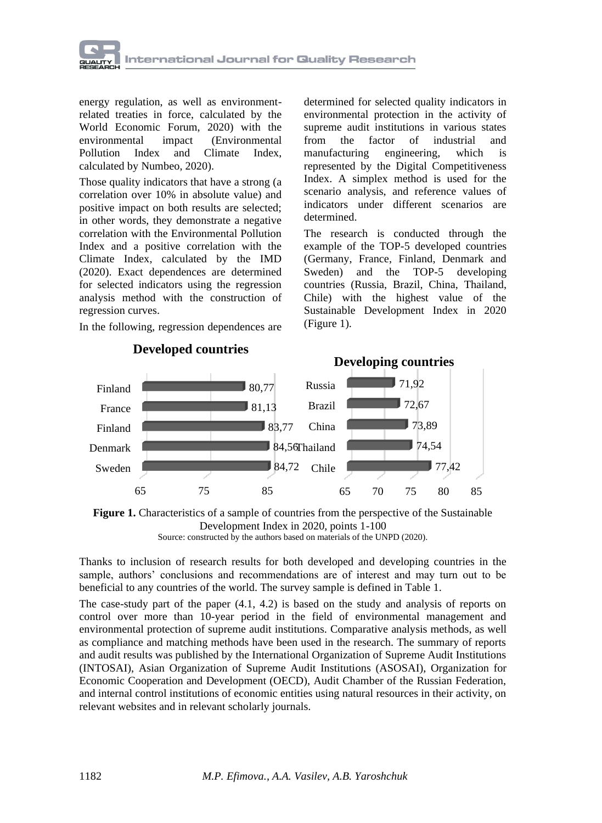

energy regulation, as well as environmentrelated treaties in force, calculated by the World Economic Forum, 2020) with the environmental impact (Environmental Pollution Index and Climate Index, calculated by Numbeo, 2020).

Those quality indicators that have a strong (a correlation over 10% in absolute value) and positive impact on both results are selected; in other words, they demonstrate a negative correlation with the Environmental Pollution Index and a positive correlation with the Climate Index, calculated by the IMD (2020). Exact dependences are determined for selected indicators using the regression analysis method with the construction of regression curves.

In the following, regression dependences are

65 75 85 Sweden Denmark Finland France Finland 84,72 84,56 Thailand 83,77 81,13 80,77 65 70 75 80 85 Chile China Brazil Russia 77,42 74,54 73,89 72,67 71,92 **Developing countries**

**Developed countries**

determined for selected quality indicators in environmental protection in the activity of supreme audit institutions in various states from the factor of industrial and manufacturing engineering, which is represented by the Digital Competitiveness Index. A simplex method is used for the scenario analysis, and reference values of indicators under different scenarios are determined.

The research is conducted through the example of the TOP-5 developed countries (Germany, France, Finland, Denmark and Sweden) and the TOP-5 developing countries (Russia, Brazil, China, Thailand, Chile) with the highest value of the Sustainable Development Index in 2020 (Figure 1).

Thanks to inclusion of research results for both developed and developing countries in the sample, authors' conclusions and recommendations are of interest and may turn out to be beneficial to any countries of the world. The survey sample is defined in Table 1.

The case-study part of the paper (4.1, 4.2) is based on the study and analysis of reports on control over more than 10-year period in the field of environmental management and environmental protection of supreme audit institutions. Comparative analysis methods, as well as compliance and matching methods have been used in the research. The summary of reports and audit results was published by the International Organization of Supreme Audit Institutions (INTOSAI), Asian Organization of Supreme Audit Institutions (ASOSAI), Organization for Economic Cooperation and Development (OECD), Audit Chamber of the Russian Federation, and internal control institutions of economic entities using natural resources in their activity, on relevant websites and in relevant scholarly journals.

**Figure 1.** Characteristics of a sample of countries from the perspective of the Sustainable Development Index in 2020, points 1-100 Source: constructed by the authors based on materials of the UNPD (2020).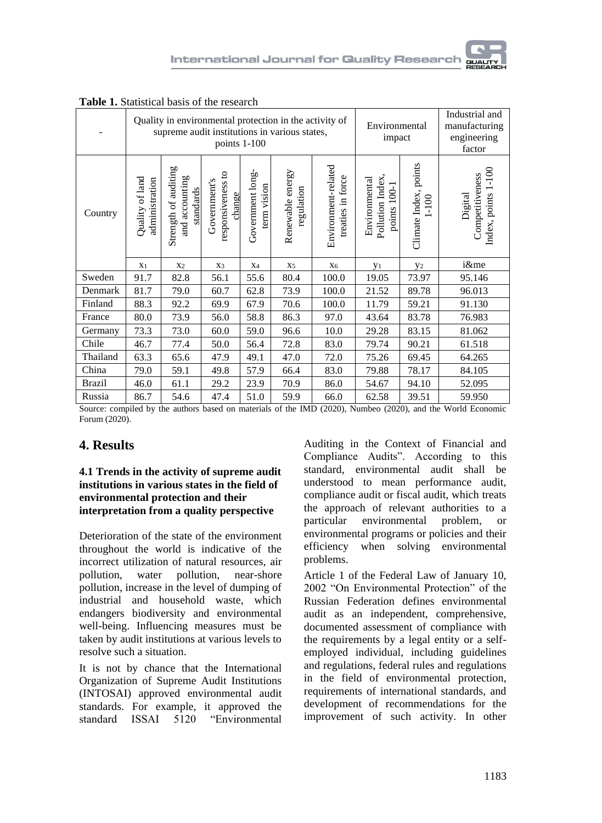|               |                                   |                                                     | points 1-100                                |                                 | Quality in environmental protection in the activity of<br>supreme audit institutions in various states, |                                          | Environmental<br>impact                              |                                  | Industrial and<br>manufacturing<br>engineering<br>factor |
|---------------|-----------------------------------|-----------------------------------------------------|---------------------------------------------|---------------------------------|---------------------------------------------------------------------------------------------------------|------------------------------------------|------------------------------------------------------|----------------------------------|----------------------------------------------------------|
| Country       | Quality of land<br>administration | Strength of auditing<br>and accounting<br>standards | responsiveness to<br>Government's<br>change | Government long-<br>term vision | energy<br>regulation<br>Renewable                                                                       | Environment-related<br>treaties in force | Pollution Index,<br>Environmental<br>100-1<br>points | Climate Index, points<br>$1-100$ | Index, points 1-100<br>Competitiveness<br>Digital        |
|               | X <sub>1</sub>                    | X <sub>2</sub>                                      | X <sub>3</sub>                              | X4                              | X <sub>5</sub>                                                                                          | X <sub>6</sub>                           | y <sub>1</sub>                                       | y <sub>2</sub>                   | i&me                                                     |
| Sweden        | 91.7                              | 82.8                                                | 56.1                                        | 55.6                            | 80.4                                                                                                    | 100.0                                    | 19.05                                                | 73.97                            | 95.146                                                   |
| Denmark       | 81.7                              | 79.0                                                | 60.7                                        | 62.8                            | 73.9                                                                                                    | 100.0                                    | 21.52                                                | 89.78                            | 96.013                                                   |
| Finland       | 88.3                              | 92.2                                                | 69.9                                        | 67.9                            | 70.6                                                                                                    | 100.0                                    | 11.79                                                | 59.21                            | 91.130                                                   |
| France        | 80.0                              | 73.9                                                | 56.0                                        | 58.8                            | 86.3                                                                                                    | 97.0                                     | 43.64                                                | 83.78                            | 76.983                                                   |
| Germany       | 73.3                              | 73.0                                                | 60.0                                        | 59.0                            | 96.6                                                                                                    | 10.0                                     | 29.28                                                | 83.15                            | 81.062                                                   |
| Chile         | 46.7                              | 77.4                                                | 50.0                                        | 56.4                            | 72.8                                                                                                    | 83.0                                     | 79.74                                                | 90.21                            | 61.518                                                   |
| Thailand      | 63.3                              | 65.6                                                | 47.9                                        | 49.1                            | 47.0                                                                                                    | 72.0                                     | 75.26                                                | 69.45                            | 64.265                                                   |
| China         | 79.0                              | 59.1                                                | 49.8                                        | 57.9                            | 66.4                                                                                                    | 83.0                                     | 79.88                                                | 78.17                            | 84.105                                                   |
| <b>Brazil</b> | 46.0                              | 61.1                                                | 29.2                                        | 23.9                            | 70.9                                                                                                    | 86.0                                     | 54.67                                                | 94.10                            | 52.095                                                   |
| Russia        | 86.7                              | 54.6                                                | 47.4                                        | 51.0                            | 59.9                                                                                                    | 66.0                                     | 62.58                                                | 39.51                            | 59.950                                                   |

**Table 1.** Statistical basis of the research

Source: compiled by the authors based on materials of the IMD (2020), Numbeo (2020), and the World Economic Forum (2020).

### **4. Results**

### **4.1 Trends in the activity of supreme audit institutions in various states in the field of environmental protection and their interpretation from a quality perspective**

Deterioration of the state of the environment throughout the world is indicative of the incorrect utilization of natural resources, air pollution, water pollution, near-shore pollution, increase in the level of dumping of industrial and household waste, which endangers biodiversity and environmental well-being. Influencing measures must be taken by audit institutions at various levels to resolve such a situation.

It is not by chance that the International Organization of Supreme Audit Institutions (INTOSAI) approved environmental audit standards. For example, it approved the standard ISSAI 5120 "Environmental

Auditing in the Context of Financial and Compliance Audits". According to this standard, environmental audit shall be understood to mean performance audit, compliance audit or fiscal audit, which treats the approach of relevant authorities to a particular environmental problem, or environmental programs or policies and their efficiency when solving environmental problems.

Article 1 of the Federal Law of January 10, 2002 "On Environmental Protection" of the Russian Federation defines environmental audit as an independent, comprehensive, documented assessment of compliance with the requirements by a legal entity or a selfemployed individual, including guidelines and regulations, federal rules and regulations in the field of environmental protection, requirements of international standards, and development of recommendations for the improvement of such activity. In other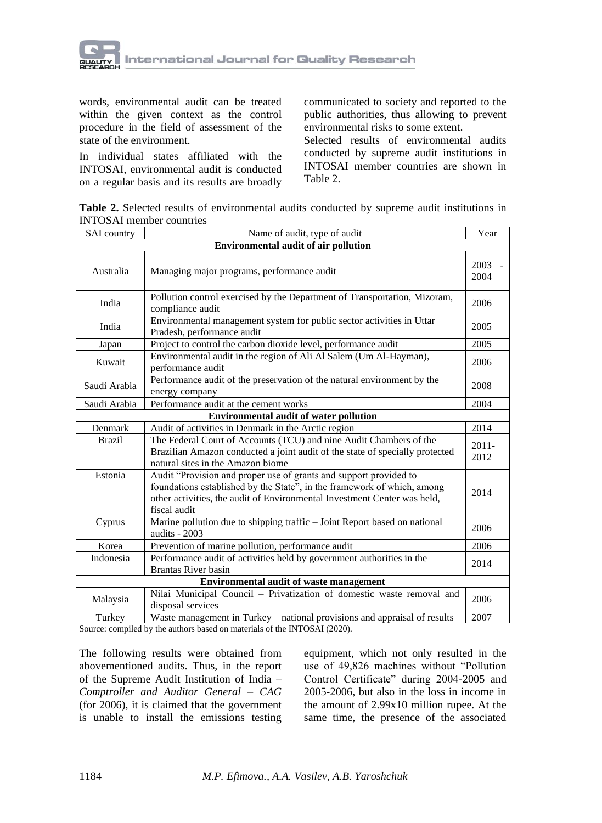

words, environmental audit can be treated within the given context as the control procedure in the field of assessment of the state of the environment.

In individual states affiliated with the INTOSAI, environmental audit is conducted on a regular basis and its results are broadly communicated to society and reported to the public authorities, thus allowing to prevent environmental risks to some extent.

Selected results of environmental audits conducted by supreme audit institutions in INTOSAI member countries are shown in Table 2.

**Table 2.** Selected results of environmental audits conducted by supreme audit institutions in INTOSAI member countries

| SAI country                                 | Name of audit, type of audit                                                                                                                                                                                                             |                  |  |  |  |  |  |  |
|---------------------------------------------|------------------------------------------------------------------------------------------------------------------------------------------------------------------------------------------------------------------------------------------|------------------|--|--|--|--|--|--|
| <b>Environmental audit of air pollution</b> |                                                                                                                                                                                                                                          |                  |  |  |  |  |  |  |
| Australia                                   | Managing major programs, performance audit                                                                                                                                                                                               |                  |  |  |  |  |  |  |
| India                                       | Pollution control exercised by the Department of Transportation, Mizoram,<br>compliance audit                                                                                                                                            | 2006             |  |  |  |  |  |  |
| India                                       | Environmental management system for public sector activities in Uttar<br>Pradesh, performance audit                                                                                                                                      | 2005             |  |  |  |  |  |  |
| Japan                                       | Project to control the carbon dioxide level, performance audit                                                                                                                                                                           | 2005             |  |  |  |  |  |  |
| Kuwait                                      | Environmental audit in the region of Ali Al Salem (Um Al-Hayman),<br>performance audit                                                                                                                                                   |                  |  |  |  |  |  |  |
| Saudi Arabia                                | Performance audit of the preservation of the natural environment by the<br>energy company                                                                                                                                                |                  |  |  |  |  |  |  |
| Saudi Arabia                                | Performance audit at the cement works                                                                                                                                                                                                    |                  |  |  |  |  |  |  |
|                                             | <b>Environmental audit of water pollution</b>                                                                                                                                                                                            |                  |  |  |  |  |  |  |
| Denmark                                     | Audit of activities in Denmark in the Arctic region                                                                                                                                                                                      | 2014             |  |  |  |  |  |  |
| <b>Brazil</b>                               | The Federal Court of Accounts (TCU) and nine Audit Chambers of the<br>Brazilian Amazon conducted a joint audit of the state of specially protected<br>natural sites in the Amazon biome                                                  | $2011 -$<br>2012 |  |  |  |  |  |  |
| Estonia                                     | Audit "Provision and proper use of grants and support provided to<br>foundations established by the State", in the framework of which, among<br>other activities, the audit of Environmental Investment Center was held,<br>fiscal audit | 2014             |  |  |  |  |  |  |
| Cyprus                                      | Marine pollution due to shipping traffic - Joint Report based on national<br>audits - 2003                                                                                                                                               | 2006             |  |  |  |  |  |  |
| Korea                                       | Prevention of marine pollution, performance audit                                                                                                                                                                                        | 2006             |  |  |  |  |  |  |
| Indonesia                                   | Performance audit of activities held by government authorities in the<br><b>Brantas River basin</b>                                                                                                                                      | 2014             |  |  |  |  |  |  |
| Environmental audit of waste management     |                                                                                                                                                                                                                                          |                  |  |  |  |  |  |  |
| Malaysia                                    | Nilai Municipal Council - Privatization of domestic waste removal and<br>disposal services                                                                                                                                               |                  |  |  |  |  |  |  |
| Turkey                                      | Waste management in Turkey - national provisions and appraisal of results<br>2007                                                                                                                                                        |                  |  |  |  |  |  |  |

Source: compiled by the authors based on materials of the INTOSAI (2020).

The following results were obtained from abovementioned audits. Thus, in the report of the Supreme Audit Institution of India – *Comptroller and Auditor General – CAG* (for 2006), it is claimed that the government is unable to install the emissions testing equipment, which not only resulted in the use of 49,826 machines without "Pollution Control Certificate" during 2004-2005 and 2005-2006, but also in the loss in income in the amount of 2.99x10 million rupee. At the same time, the presence of the associated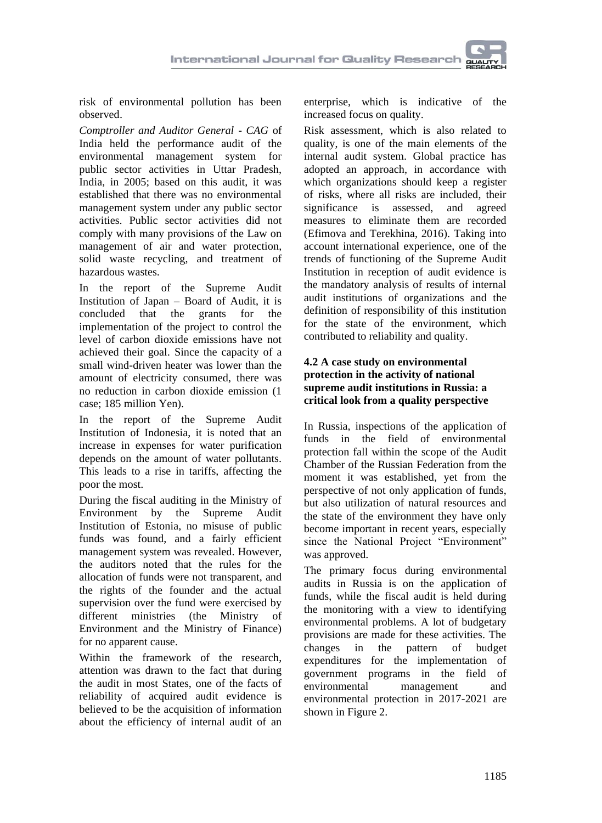risk of environmental pollution has been observed.

*Comptroller and Auditor General - CAG* of India held the performance audit of the environmental management system for public sector activities in Uttar Pradesh, India, in 2005; based on this audit, it was established that there was no environmental management system under any public sector activities. Public sector activities did not comply with many provisions of the Law on management of air and water protection, solid waste recycling, and treatment of hazardous wastes.

In the report of the Supreme Audit Institution of Japan – Board of Audit, it is concluded that the grants for the implementation of the project to control the level of carbon dioxide emissions have not achieved their goal. Since the capacity of a small wind-driven heater was lower than the amount of electricity consumed, there was no reduction in carbon dioxide emission (1 case; 185 million Yen).

In the report of the Supreme Audit Institution of Indonesia, it is noted that an increase in expenses for water purification depends on the amount of water pollutants. This leads to a rise in tariffs, affecting the poor the most.

During the fiscal auditing in the Ministry of Environment by the Supreme Audit Institution of Estonia, no misuse of public funds was found, and a fairly efficient management system was revealed. However, the auditors noted that the rules for the allocation of funds were not transparent, and the rights of the founder and the actual supervision over the fund were exercised by different ministries (the Ministry of Environment and the Ministry of Finance) for no apparent cause.

Within the framework of the research, attention was drawn to the fact that during the audit in most States, one of the facts of reliability of acquired audit evidence is believed to be the acquisition of information about the efficiency of internal audit of an enterprise, which is indicative of the increased focus on quality.

Risk assessment, which is also related to quality, is one of the main elements of the internal audit system. Global practice has adopted an approach, in accordance with which organizations should keep a register of risks, where all risks are included, their significance is assessed, and agreed measures to eliminate them are recorded (Efimova and Terekhina, 2016). Taking into account international experience, one of the trends of functioning of the Supreme Audit Institution in reception of audit evidence is the mandatory analysis of results of internal audit institutions of organizations and the definition of responsibility of this institution for the state of the environment, which contributed to reliability and quality.

### **4.2 A case study on environmental protection in the activity of national supreme audit institutions in Russia: a critical look from a quality perspective**

In Russia, inspections of the application of funds in the field of environmental protection fall within the scope of the Audit Chamber of the Russian Federation from the moment it was established, yet from the perspective of not only application of funds, but also utilization of natural resources and the state of the environment they have only become important in recent years, especially since the National Project "Environment" was approved.

The primary focus during environmental audits in Russia is on the application of funds, while the fiscal audit is held during the monitoring with a view to identifying environmental problems. A lot of budgetary provisions are made for these activities. The changes in the pattern of budget expenditures for the implementation of government programs in the field of environmental management and environmental protection in 2017-2021 are shown in Figure 2.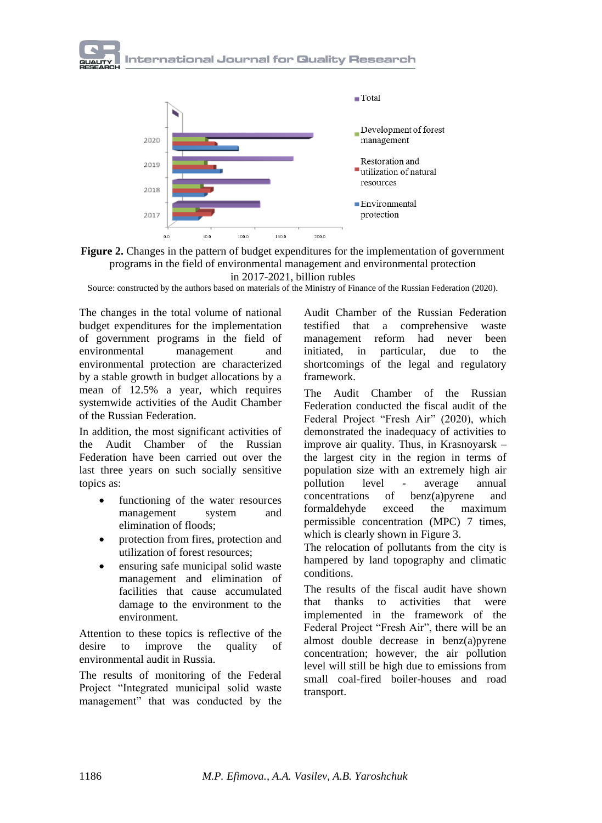





Source: constructed by the authors based on materials of the Ministry of Finance of the Russian Federation (2020).

The changes in the total volume of national budget expenditures for the implementation of government programs in the field of environmental management and environmental protection are characterized by a stable growth in budget allocations by a mean of 12.5% a year, which requires systemwide activities of the Audit Chamber of the Russian Federation.

In addition, the most significant activities of the Audit Chamber of the Russian Federation have been carried out over the last three years on such socially sensitive topics as:

- functioning of the water resources management system and elimination of floods;
- protection from fires, protection and utilization of forest resources;
- ensuring safe municipal solid waste management and elimination of facilities that cause accumulated damage to the environment to the environment.

Attention to these topics is reflective of the desire to improve the quality of environmental audit in Russia.

The results of monitoring of the Federal Project "Integrated municipal solid waste management" that was conducted by the

Audit Chamber of the Russian Federation testified that a comprehensive waste management reform had never been initiated, in particular, due to the shortcomings of the legal and regulatory framework.

The Audit Chamber of the Russian Federation conducted the fiscal audit of the Federal Project "Fresh Air" (2020), which demonstrated the inadequacy of activities to improve air quality. Thus, in Krasnoyarsk – the largest city in the region in terms of population size with an extremely high air pollution level - average annual concentrations of benz(a)pyrene and formaldehyde exceed the maximum permissible concentration (MPC) 7 times, which is clearly shown in Figure 3.

The relocation of pollutants from the city is hampered by land topography and climatic conditions.

The results of the fiscal audit have shown that thanks to activities that were implemented in the framework of the Federal Project "Fresh Air", there will be an almost double decrease in benz(a)pyrene concentration; however, the air pollution level will still be high due to emissions from small coal-fired boiler-houses and road transport.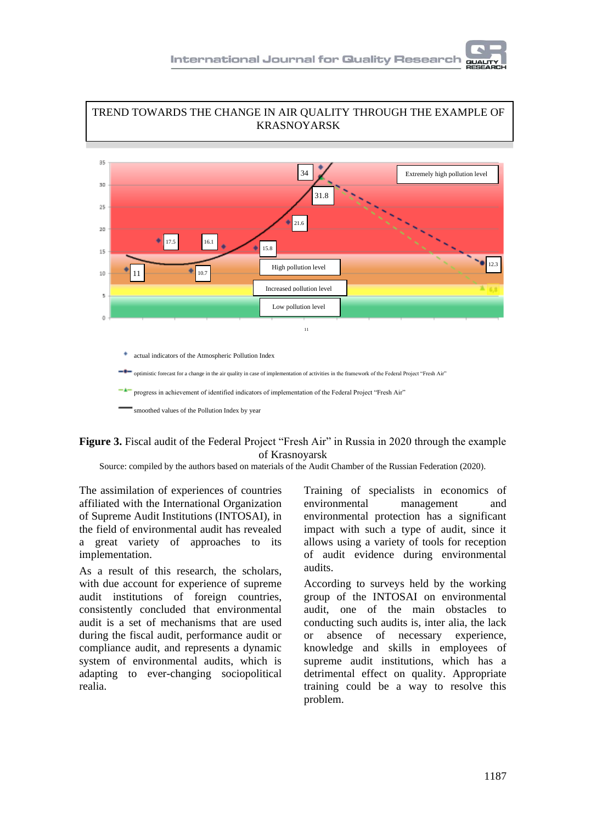

TREND TOWARDS THE CHANGE IN AIR QUALITY THROUGH THE EXAMPLE OF

# **Figure 3.** Fiscal audit of the Federal Project "Fresh Air" in Russia in 2020 through the example of Krasnoyarsk

Source: compiled by the authors based on materials of the Audit Chamber of the Russian Federation (2020).

The assimilation of experiences of countries affiliated with the International Organization of Supreme Audit Institutions (INTOSAI), in the field of environmental audit has revealed a great variety of approaches to its implementation.

As a result of this research, the scholars, with due account for experience of supreme audit institutions of foreign countries, consistently concluded that environmental audit is a set of mechanisms that are used during the fiscal audit, performance audit or compliance audit, and represents a dynamic system of environmental audits, which is adapting to ever-changing sociopolitical realia.

Training of specialists in economics of environmental management and environmental protection has a significant impact with such a type of audit, since it allows using a variety of tools for reception of audit evidence during environmental audits.

According to surveys held by the working group of the INTOSAI on environmental audit, one of the main obstacles to conducting such audits is, inter alia, the lack or absence of necessary experience, knowledge and skills in employees of supreme audit institutions, which has a detrimental effect on quality. Appropriate training could be a way to resolve this problem.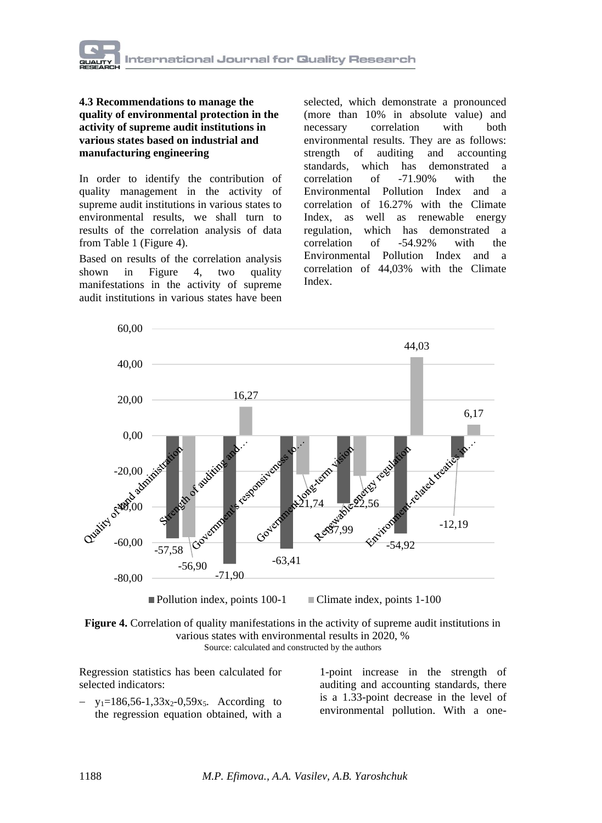

#### **4.3 Recommendations to manage the quality of environmental protection in the activity of supreme audit institutions in various states based on industrial and manufacturing engineering**

In order to identify the contribution of quality management in the activity of supreme audit institutions in various states to environmental results, we shall turn to results of the correlation analysis of data from Table 1 (Figure 4).

Based on results of the correlation analysis shown in Figure 4, two quality manifestations in the activity of supreme audit institutions in various states have been

selected, which demonstrate a pronounced (more than 10% in absolute value) and necessary correlation with both environmental results. They are as follows: strength of auditing and accounting standards, which has demonstrated a correlation of -71.90% with the Environmental Pollution Index and a correlation of 16.27% with the Climate Index, as well as renewable energy regulation, which has demonstrated a correlation of -54.92% with the Environmental Pollution Index and a correlation of 44,03% with the Climate Index.



Pollution index, points 100-1 Climate index, points 1-100



Regression statistics has been calculated for selected indicators:

 $y_1=186,56-1,33x_2-0,59x_5.$  According to the regression equation obtained, with a

1-point increase in the strength of auditing and accounting standards, there is a 1.33-point decrease in the level of environmental pollution. With a one-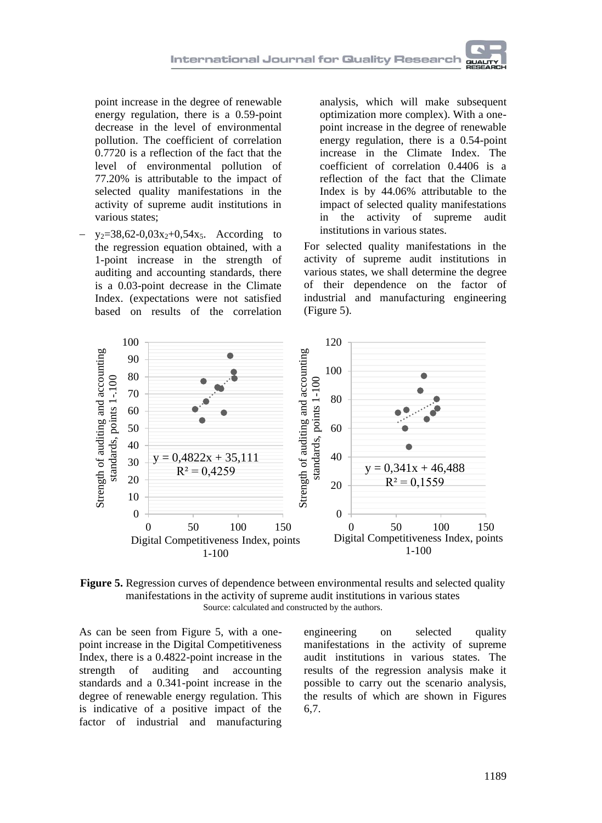

point increase in the degree of renewable energy regulation, there is a 0.59-point decrease in the level of environmental pollution. The coefficient of correlation 0.7720 is a reflection of the fact that the level of environmental pollution of 77.20% is attributable to the impact of selected quality manifestations in the activity of supreme audit institutions in various states;

 $y_2=38,62-0,03x_2+0,54x_5$ . According to the regression equation obtained, with a 1-point increase in the strength of auditing and accounting standards, there is a 0.03-point decrease in the Climate Index. (expectations were not satisfied based on results of the correlation

analysis, which will make subsequent optimization more complex). With a onepoint increase in the degree of renewable energy regulation, there is a 0.54-point increase in the Climate Index. The coefficient of correlation 0.4406 is a reflection of the fact that the Climate Index is by 44.06% attributable to the impact of selected quality manifestations in the activity of supreme audit institutions in various states.

For selected quality manifestations in the activity of supreme audit institutions in various states, we shall determine the degree of their dependence on the factor of industrial and manufacturing engineering (Figure 5).



**Figure 5.** Regression curves of dependence between environmental results and selected quality manifestations in the activity of supreme audit institutions in various states Source: calculated and constructed by the authors.

As can be seen from Figure 5, with a onepoint increase in the Digital Competitiveness Index, there is a 0.4822-point increase in the strength of auditing and accounting standards and a 0.341-point increase in the degree of renewable energy regulation. This is indicative of a positive impact of the factor of industrial and manufacturing engineering on selected quality manifestations in the activity of supreme audit institutions in various states. The results of the regression analysis make it possible to carry out the scenario analysis, the results of which are shown in Figures 6,7.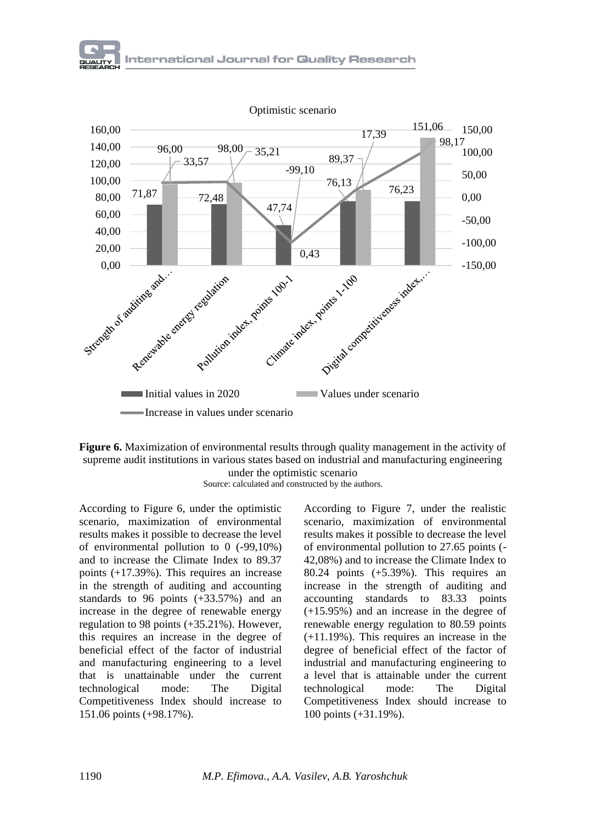

**Figure 6.** Maximization of environmental results through quality management in the activity of supreme audit institutions in various states based on industrial and manufacturing engineering under the optimistic scenario



According to Figure 6, under the optimistic scenario, maximization of environmental results makes it possible to decrease the level of environmental pollution to 0 (-99,10%) and to increase the Climate Index to 89.37 points (+17.39%). This requires an increase in the strength of auditing and accounting standards to 96 points (+33.57%) and an increase in the degree of renewable energy regulation to 98 points (+35.21%). However, this requires an increase in the degree of beneficial effect of the factor of industrial and manufacturing engineering to a level that is unattainable under the current technological mode: The Digital Competitiveness Index should increase to 151.06 points (+98.17%).

According to Figure 7, under the realistic scenario, maximization of environmental results makes it possible to decrease the level of environmental pollution to 27.65 points (- 42,08%) and to increase the Climate Index to 80.24 points (+5.39%). This requires an increase in the strength of auditing and accounting standards to 83.33 points (+15.95%) and an increase in the degree of renewable energy regulation to 80.59 points (+11.19%). This requires an increase in the degree of beneficial effect of the factor of industrial and manufacturing engineering to a level that is attainable under the current technological mode: The Digital Competitiveness Index should increase to 100 points (+31.19%).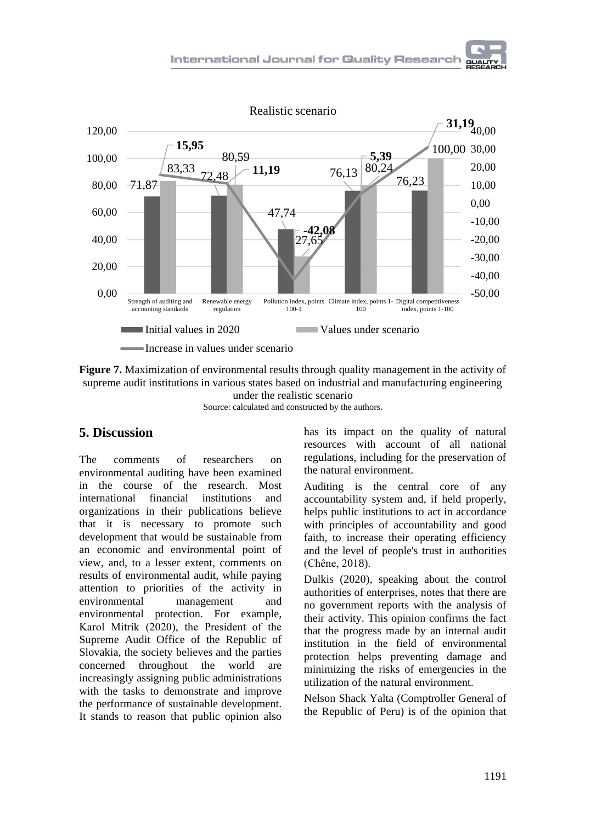

**Figure 7.** Maximization of environmental results through quality management in the activity of supreme audit institutions in various states based on industrial and manufacturing engineering

under the realistic scenario Source: calculated and constructed by the authors.

## **5. Discussion**

The comments of researchers on environmental auditing have been examined in the course of the research. Most international financial institutions and organizations in their publications believe that it is necessary to promote such development that would be sustainable from an economic and environmental point of view, and, to a lesser extent, comments on results of environmental audit, while paying attention to priorities of the activity in environmental management and environmental protection. For example, Karol Mitrík (2020), the President of the Supreme Audit Office of the Republic of Slovakia, the society believes and the parties concerned throughout the world are increasingly assigning public administrations with the tasks to demonstrate and improve the performance of sustainable development. It stands to reason that public opinion also

has its impact on the quality of natural resources with account of all national regulations, including for the preservation of the natural environment.

Auditing is the central core of any accountability system and, if held properly, helps public institutions to act in accordance with principles of accountability and good faith, to increase their operating efficiency and the level of people's trust in authorities (Chêne, 2018).

Dulkis (2020), speaking about the control authorities of enterprises, notes that there are no government reports with the analysis of their activity. This opinion confirms the fact that the progress made by an internal audit institution in the field of environmental protection helps preventing damage and minimizing the risks of emergencies in the utilization of the natural environment.

Nelson Shack Yalta (Comptroller General of the Republic of Peru) is of the opinion that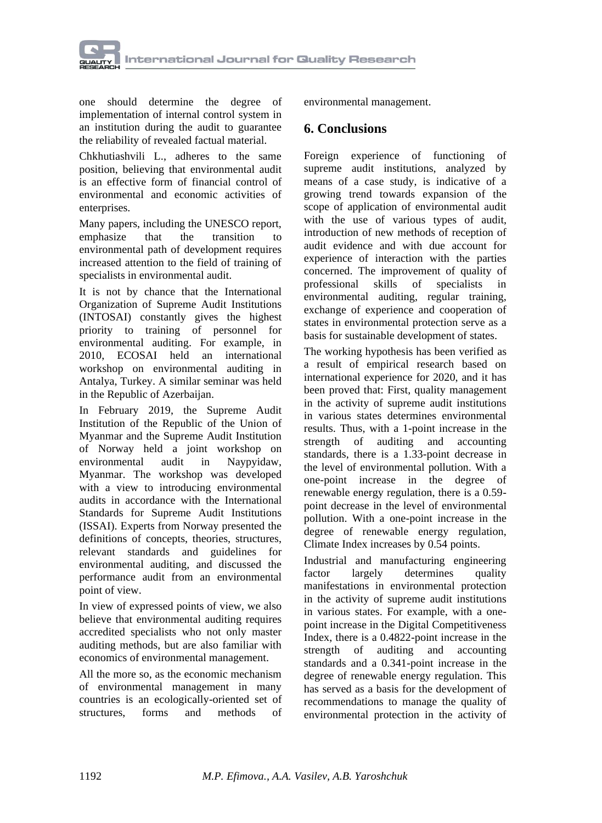

one should determine the degree of implementation of internal control system in an institution during the audit to guarantee the reliability of revealed factual material.

Chkhutiashvili L., adheres to the same position, believing that environmental audit is an effective form of financial control of environmental and economic activities of enterprises.

Many papers, including the UNESCO report,<br>emphasize that the transition to emphasize that the transition to environmental path of development requires increased attention to the field of training of specialists in environmental audit.

It is not by chance that the International Organization of Supreme Audit Institutions (INTOSAI) constantly gives the highest priority to training of personnel for environmental auditing. For example, in 2010, ECOSAI held an international workshop on environmental auditing in Antalya, Turkey. A similar seminar was held in the Republic of Azerbaijan.

In February 2019, the Supreme Audit Institution of the Republic of the Union of Myanmar and the Supreme Audit Institution of Norway held a joint workshop on environmental audit in Naypyidaw, Myanmar. The workshop was developed with a view to introducing environmental audits in accordance with the International Standards for Supreme Audit Institutions (ISSAI). Experts from Norway presented the definitions of concepts, theories, structures, relevant standards and guidelines for environmental auditing, and discussed the performance audit from an environmental point of view.

In view of expressed points of view, we also believe that environmental auditing requires accredited specialists who not only master auditing methods, but are also familiar with economics of environmental management.

All the more so, as the economic mechanism of environmental management in many countries is an ecologically-oriented set of structures, forms and methods of environmental management.

## **6. Conclusions**

Foreign experience of functioning of supreme audit institutions, analyzed by means of a case study, is indicative of a growing trend towards expansion of the scope of application of environmental audit with the use of various types of audit, introduction of new methods of reception of audit evidence and with due account for experience of interaction with the parties concerned. The improvement of quality of<br>professional skills of specialists in professional skills of specialists in environmental auditing, regular training, exchange of experience and cooperation of states in environmental protection serve as a basis for sustainable development of states.

The working hypothesis has been verified as a result of empirical research based on international experience for 2020, and it has been proved that: First, quality management in the activity of supreme audit institutions in various states determines environmental results. Thus, with a 1-point increase in the strength of auditing and accounting standards, there is a 1.33-point decrease in the level of environmental pollution. With a one-point increase in the degree of renewable energy regulation, there is a 0.59 point decrease in the level of environmental pollution. With a one-point increase in the degree of renewable energy regulation, Climate Index increases by 0.54 points.

Industrial and manufacturing engineering factor largely determines quality manifestations in environmental protection in the activity of supreme audit institutions in various states. For example, with a onepoint increase in the Digital Competitiveness Index, there is a 0.4822-point increase in the strength of auditing and accounting standards and a 0.341-point increase in the degree of renewable energy regulation. This has served as a basis for the development of recommendations to manage the quality of environmental protection in the activity of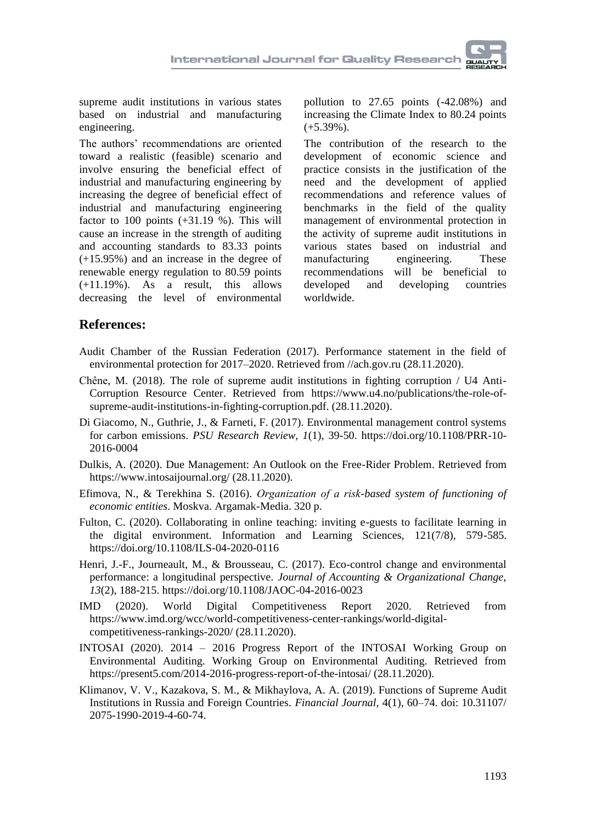supreme audit institutions in various states based on industrial and manufacturing engineering.

The authors' recommendations are oriented toward a realistic (feasible) scenario and involve ensuring the beneficial effect of industrial and manufacturing engineering by increasing the degree of beneficial effect of industrial and manufacturing engineering factor to 100 points  $(+31.19\%)$ . This will cause an increase in the strength of auditing and accounting standards to 83.33 points (+15.95%) and an increase in the degree of renewable energy regulation to 80.59 points (+11.19%). As a result, this allows decreasing the level of environmental

pollution to 27.65 points (-42.08%) and increasing the Climate Index to 80.24 points  $(+5.39\%).$ 

The contribution of the research to the development of economic science and practice consists in the justification of the need and the development of applied recommendations and reference values of benchmarks in the field of the quality management of environmental protection in the activity of supreme audit institutions in various states based on industrial and manufacturing engineering. These<br>recommendations will be beneficial to will be beneficial to developed and developing countries worldwide.

## **References:**

- Audit Chamber of the Russian Federation (2017). Performance statement in the field of environmental protection for 2017–2020. Retrieved from //ach.gov.ru (28.11.2020).
- Chêne, M. (2018). The role of supreme audit institutions in fighting corruption / U4 Anti-Corruption Resource Center. Retrieved from https://www.u4.no/publications/the-role-ofsupreme-audit-institutions-in-fighting-corruption.pdf. (28.11.2020).
- Di Giacomo, N., Guthrie, J., & Farneti, F. (2017). Environmental management control systems for carbon emissions. *PSU Research Review, 1*(1), 39-50. https://doi.org/10.1108/PRR-10- 2016-0004
- Dulkis, A. (2020). Due Management: An Outlook on the Free-Rider Problem. Retrieved from https://www.intosaijournal.org/ (28.11.2020).
- Efimova, N., & Terekhina S. (2016). *Оrganization of a risk-based system of functioning of economic entities*. Moskva. Argamak-Media. 320 p.
- Fulton, C. (2020). Collaborating in online teaching: inviting e-guests to facilitate learning in the digital environment. Information and Learning Sciences, 121(7/8), 579-585. https://doi.org/10.1108/ILS-04-2020-0116
- Henri, J.-F., Journeault, M., & Brousseau, C. (2017). Eco-control change and environmental performance: a longitudinal perspective. *Journal of Accounting & Organizational Change, 13*(2), 188-215. https://doi.org/10.1108/JAOC-04-2016-0023
- IMD (2020). World Digital Competitiveness Report 2020. Retrieved from https://www.imd.org/wcc/world-competitiveness-center-rankings/world-digitalcompetitiveness-rankings-2020/ (28.11.2020).
- INTOSAI (2020). 2014 2016 Progress Report of the INTOSAI Working Group on Environmental Auditing. Working Group on Environmental Auditing. Retrieved from https://present5.com/2014-2016-progress-report-of-the-intosai/ (28.11.2020).
- Klimanov, V. V., Kazakova, S. M., & Mikhaylova, A. A. (2019). Functions of Supreme Audit Institutions in Russia and Foreign Countries. *Financial Journal,* 4(1), 60–74. doi: 10.31107/ 2075-1990-2019-4-60-74.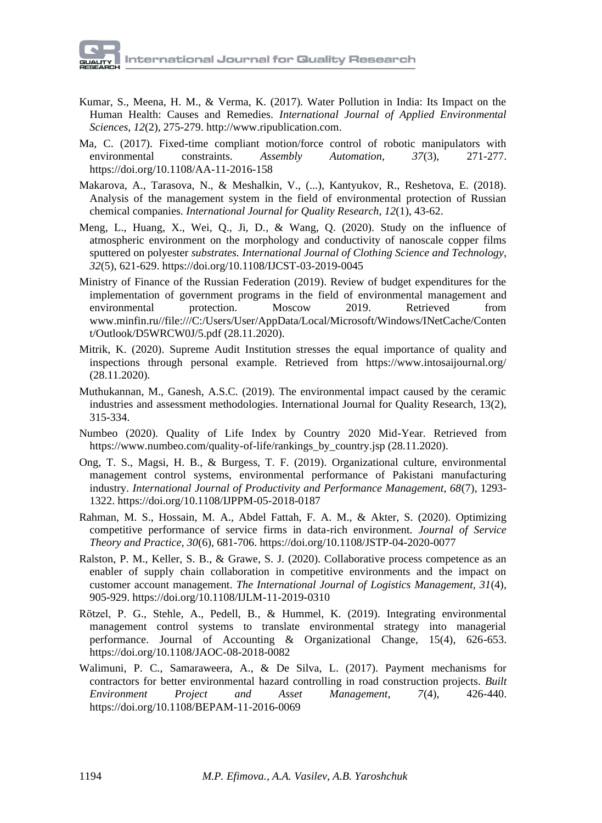- Kumar, S., Meena, H. M., & Verma, K. (2017). Water Pollution in India: Its Impact on the Human Health: Causes and Remedies. *International Journal of Applied Environmental Sciences, 12*(2), 275-279. http://www.ripublication.com.
- Ma, C. (2017). Fixed-time compliant motion/force control of robotic manipulators with environmental constraints. *Assembly Automation, 37*(3), 271-277. https://doi.org/10.1108/AA-11-2016-158
- Makarova, A., Tarasova, N., & Meshalkin, V., (...), Kantyukov, R., Reshetova, E. (2018). Analysis of the management system in the field of environmental protection of Russian chemical companies. *International Journal for Quality Research, 12*(1), 43-62.
- Meng, L., Huang, X., Wei, Q., Ji, D., & Wang, Q. (2020). Study on the influence of atmospheric environment on the morphology and conductivity of nanoscale copper films sputtered on polyester *substrates. International Journal of Clothing Science and Technology, 32*(5), 621-629. https://doi.org/10.1108/IJCST-03-2019-0045
- Ministry of Finance of the Russian Federation (2019). Review of budget expenditures for the implementation of government programs in the field of environmental management and environmental protection. Moscow 2019. Retrieved from www.minfin.ru//file:///C:/Users/User/AppData/Local/Microsoft/Windows/INetCache/Conten t/Outlook/D5WRCW0J/5.pdf (28.11.2020).
- Mitrik, K. (2020). Supreme Audit Institution stresses the equal importance of quality and inspections through personal example. Retrieved from https://www.intosaijournal.org/ (28.11.2020).
- Muthukannan, M., Ganesh, A.S.C. (2019). The environmental impact caused by the ceramic industries and assessment methodologies. International Journal for Quality Research, 13(2), 315-334.
- Numbeo (2020). Quality of Life Index by Country 2020 Mid-Year. Retrieved from https://www.numbeo.com/quality-of-life/rankings\_by\_country.jsp (28.11.2020).
- Ong, T. S., Magsi, H. B., & Burgess, T. F. (2019). Organizational culture, environmental management control systems, environmental performance of Pakistani manufacturing industry. *International Journal of Productivity and Performance Management, 68*(7), 1293- 1322. https://doi.org/10.1108/IJPPM-05-2018-0187
- Rahman, M. S., Hossain, M. A., Abdel Fattah, F. A. M., & Akter, S. (2020). Optimizing competitive performance of service firms in data-rich environment. *Journal of Service Theory and Practice, 30*(6), 681-706. https://doi.org/10.1108/JSTP-04-2020-0077
- Ralston, P. M., Keller, S. B., & Grawe, S. J. (2020). Collaborative process competence as an enabler of supply chain collaboration in competitive environments and the impact on customer account management. *The International Journal of Logistics Management, 31*(4), 905-929. https://doi.org/10.1108/IJLM-11-2019-0310
- Rötzel, P. G., Stehle, A., Pedell, B., & Hummel, K. (2019). Integrating environmental management control systems to translate environmental strategy into managerial performance. Journal of Accounting & Organizational Change, 15(4), 626-653. https://doi.org/10.1108/JAOC-08-2018-0082
- Walimuni, P. C., Samaraweera, A., & De Silva, L. (2017). Payment mechanisms for contractors for better environmental hazard controlling in road construction projects. *Built Environment Project and Asset Management, 7*(4), 426-440. https://doi.org/10.1108/BEPAM-11-2016-0069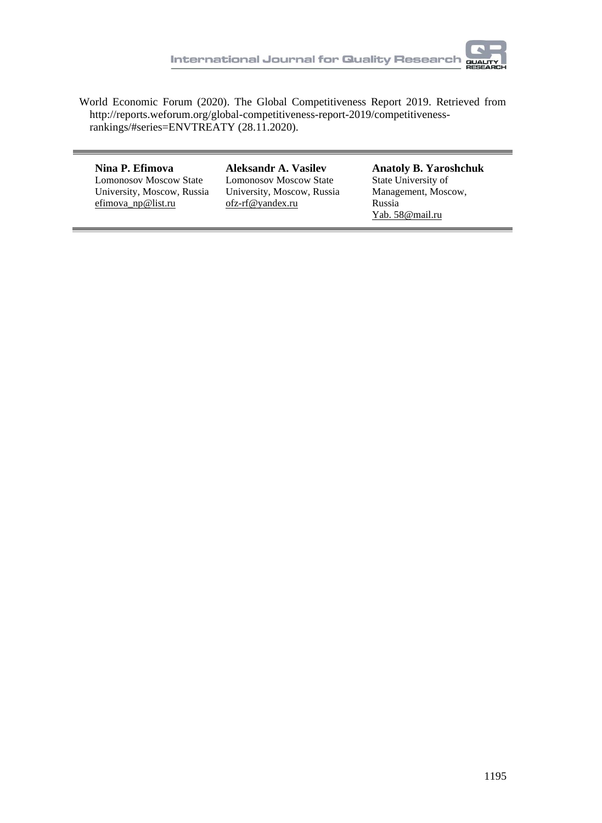World Economic Forum (2020). The Global Competitiveness Report 2019. Retrieved from http://reports.weforum.org/global-competitiveness-report-2019/competitivenessrankings/#series=ENVTREATY (28.11.2020).

#### **Nina P. Efimova**  Lomonosov Moscow State

University, Moscow, Russia efimova\_np@list.ru

**Aleksandr A. Vasilev** Lomonosov Moscow State University, Moscow, Russia ofz-rf@yandex.ru

**Anatoly B. Yaroshchuk**  State University of Management, Moscow, Russia Yab. 58@mail.ru